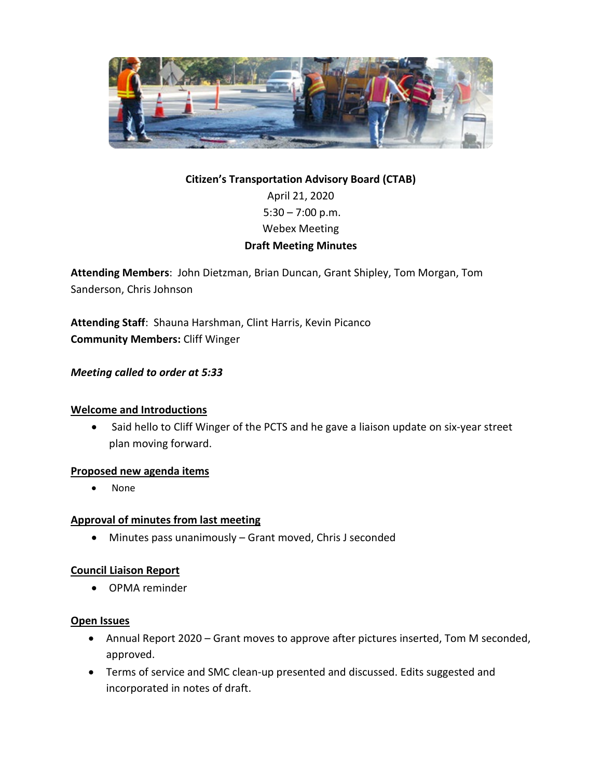

# **Citizen's Transportation Advisory Board (CTAB)** April 21, 2020  $5:30 - 7:00$  p.m. Webex Meeting **Draft Meeting Minutes**

**Attending Members**: John Dietzman, Brian Duncan, Grant Shipley, Tom Morgan, Tom Sanderson, Chris Johnson

**Attending Staff**: Shauna Harshman, Clint Harris, Kevin Picanco **Community Members:** Cliff Winger

## *Meeting called to order at 5:33*

## **Welcome and Introductions**

• Said hello to Cliff Winger of the PCTS and he gave a liaison update on six-year street plan moving forward.

#### **Proposed new agenda items**

• None

## **Approval of minutes from last meeting**

• Minutes pass unanimously – Grant moved, Chris J seconded

## **Council Liaison Report**

• OPMA reminder

#### **Open Issues**

- Annual Report 2020 Grant moves to approve after pictures inserted, Tom M seconded, approved.
- Terms of service and SMC clean-up presented and discussed. Edits suggested and incorporated in notes of draft.